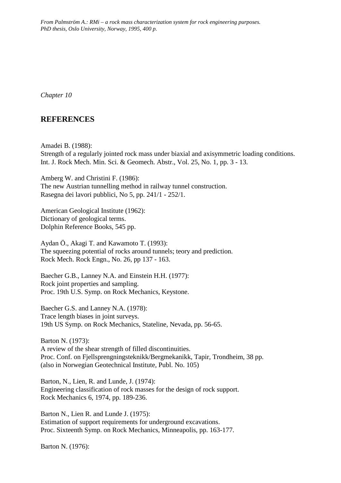*From Palmström A.: RMi – a rock mass characterization system for rock engineering purposes. PhD thesis, Oslo University, Norway, 1995, 400 p.*

*Chapter 10*

# **REFERENCES**

Amadei B. (1988): Strength of a regularly jointed rock mass under biaxial and axisymmetric loading conditions. Int. J. Rock Mech. Min. Sci. & Geomech. Abstr., Vol. 25, No. 1, pp. 3 - 13.

Amberg W. and Christini F. (1986): The new Austrian tunnelling method in railway tunnel construction. Rasegna dei lavori pubblici, No 5, pp. 241/1 - 252/1.

American Geological Institute (1962): Dictionary of geological terms. Dolphin Reference Books, 545 pp.

Aydan Ö., Akagi T. and Kawamoto T. (1993): The squeezing potential of rocks around tunnels; teory and prediction. Rock Mech. Rock Engn., No. 26, pp 137 - 163.

Baecher G.B., Lanney N.A. and Einstein H.H. (1977): Rock joint properties and sampling. Proc. 19th U.S. Symp. on Rock Mechanics, Keystone.

Baecher G.S. and Lanney N.A. (1978): Trace length biases in joint surveys. 19th US Symp. on Rock Mechanics, Stateline, Nevada, pp. 56-65.

Barton N. (1973): A review of the shear strength of filled discontinuities. Proc. Conf. on Fjellsprengningsteknikk/Bergmekanikk, Tapir, Trondheim, 38 pp. (also in Norwegian Geotechnical Institute, Publ. No. 105)

Barton, N., Lien, R. and Lunde, J. (1974): Engineering classification of rock masses for the design of rock support. Rock Mechanics 6, 1974, pp. 189-236.

Barton N., Lien R. and Lunde J. (1975): Estimation of support requirements for underground excavations. Proc. Sixteenth Symp. on Rock Mechanics, Minneapolis, pp. 163-177.

Barton N. (1976):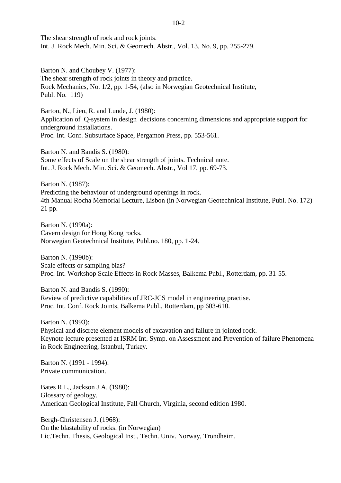The shear strength of rock and rock joints. Int. J. Rock Mech. Min. Sci. & Geomech. Abstr., Vol. 13, No. 9, pp. 255-279.

Barton N. and Choubey V. (1977): The shear strength of rock joints in theory and practice. Rock Mechanics, No. 1/2, pp. 1-54, (also in Norwegian Geotechnical Institute, Publ. No. 119)

Barton, N., Lien, R. and Lunde, J. (1980): Application of Q-system in design decisions concerning dimensions and appropriate support for underground installations. Proc. Int. Conf. Subsurface Space, Pergamon Press, pp. 553-561.

Barton N. and Bandis S. (1980): Some effects of Scale on the shear strength of joints. Technical note. Int. J. Rock Mech. Min. Sci. & Geomech. Abstr., Vol 17, pp. 69-73.

Barton N. (1987): Predicting the behaviour of underground openings in rock. 4th Manual Rocha Memorial Lecture, Lisbon (in Norwegian Geotechnical Institute, Publ. No. 172) 21 pp.

Barton N. (1990a): Cavern design for Hong Kong rocks. Norwegian Geotechnical Institute, Publ.no. 180, pp. 1-24.

Barton N. (1990b): Scale effects or sampling bias? Proc. Int. Workshop Scale Effects in Rock Masses, Balkema Publ., Rotterdam, pp. 31-55.

Barton N. and Bandis S. (1990): Review of predictive capabilities of JRC-JCS model in engineering practise. Proc. Int. Conf. Rock Joints, Balkema Publ., Rotterdam, pp 603-610.

Barton N. (1993): Physical and discrete element models of excavation and failure in jointed rock. Keynote lecture presented at ISRM Int. Symp. on Assessment and Prevention of failure Phenomena in Rock Engineering, Istanbul, Turkey.

Barton N. (1991 - 1994): Private communication.

Bates R.L., Jackson J.A. (1980): Glossary of geology. American Geological Institute, Fall Church, Virginia, second edition 1980.

Bergh-Christensen J. (1968): On the blastability of rocks. (in Norwegian) Lic.Techn. Thesis, Geological Inst., Techn. Univ. Norway, Trondheim.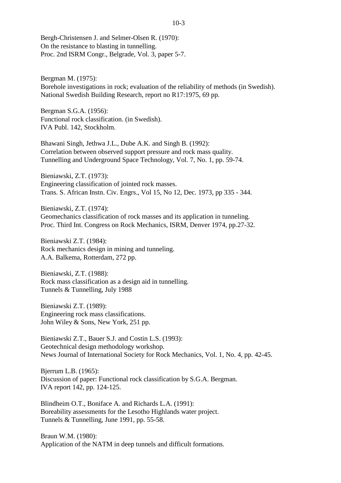Bergh-Christensen J. and Selmer-Olsen R. (1970): On the resistance to blasting in tunnelling. Proc. 2nd ISRM Congr., Belgrade, Vol. 3, paper 5-7.

Bergman M. (1975): Borehole investigations in rock; evaluation of the reliability of methods (in Swedish). National Swedish Building Research, report no R17:1975, 69 pp.

Bergman S.G.A. (1956): Functional rock classification. (in Swedish). IVA Publ. 142, Stockholm.

Bhawani Singh, Jethwa J.L., Dube A.K. and Singh B. (1992): Correlation between observed support pressure and rock mass quality. Tunnelling and Underground Space Technology, Vol. 7, No. 1, pp. 59-74.

Bieniawski, Z.T. (1973): Engineering classification of jointed rock masses. Trans. S. African Instn. Civ. Engrs., Vol 15, No 12, Dec. 1973, pp 335 - 344.

Bieniawski, Z.T. (1974): Geomechanics classification of rock masses and its application in tunneling. Proc. Third Int. Congress on Rock Mechanics, ISRM, Denver 1974, pp.27-32.

Bieniawski Z.T. (1984): Rock mechanics design in mining and tunneling. A.A. Balkema, Rotterdam, 272 pp.

Bieniawski, Z.T. (1988): Rock mass classification as a design aid in tunnelling. Tunnels & Tunnelling, July 1988

Bieniawski Z.T. (1989): Engineering rock mass classifications. John Wiley & Sons, New York, 251 pp.

Bieniawski Z.T., Bauer S.J. and Costin L.S. (1993): Geotechnical design methodology workshop. News Journal of International Society for Rock Mechanics, Vol. 1, No. 4, pp. 42-45.

Bjerrum L.B. (1965): Discussion of paper: Functional rock classification by S.G.A. Bergman. IVA report 142, pp. 124-125.

Blindheim O.T., Boniface A. and Richards L.A. (1991): Boreability assessments for the Lesotho Highlands water project. Tunnels & Tunnelling, June 1991, pp. 55-58.

Braun W.M. (1980): Application of the NATM in deep tunnels and difficult formations.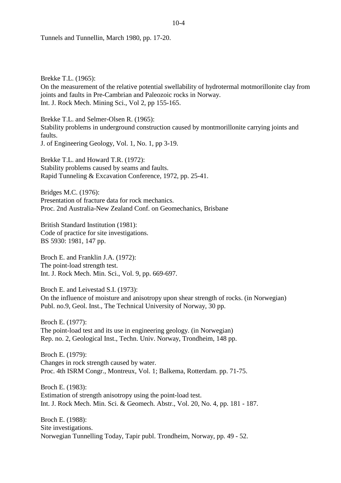Tunnels and Tunnellin, March 1980, pp. 17-20.

Brekke T.L. (1965): On the measurement of the relative potential swellability of hydrotermal motmorillonite clay from joints and faults in Pre-Cambrian and Paleozoic rocks in Norway. Int. J. Rock Mech. Mining Sci., Vol 2, pp 155-165.

Brekke T.L. and Selmer-Olsen R. (1965): Stability problems in underground construction caused by montmorillonite carrying joints and faults. J. of Engineering Geology, Vol. 1, No. 1, pp 3-19.

Brekke T.L. and Howard T.R. (1972): Stability problems caused by seams and faults. Rapid Tunneling & Excavation Conference, 1972, pp. 25-41.

Bridges M.C. (1976): Presentation of fracture data for rock mechanics. Proc. 2nd Australia-New Zealand Conf. on Geomechanics, Brisbane

British Standard Institution (1981): Code of practice for site investigations. BS 5930: 1981, 147 pp.

Broch E. and Franklin J.A. (1972): The point-load strength test. Int. J. Rock Mech. Min. Sci., Vol. 9, pp. 669-697.

Broch E. and Leivestad S.I. (1973): On the influence of moisture and anisotropy upon shear strength of rocks. (in Norwegian) Publ. no.9, Geol. Inst., The Technical University of Norway, 30 pp.

Broch E. (1977): The point-load test and its use in engineering geology. (in Norwegian) Rep. no. 2, Geological Inst., Techn. Univ. Norway, Trondheim, 148 pp.

Broch E. (1979): Changes in rock strength caused by water. Proc. 4th ISRM Congr., Montreux, Vol. 1; Balkema, Rotterdam. pp. 71-75.

Broch E. (1983): Estimation of strength anisotropy using the point-load test. Int. J. Rock Mech. Min. Sci. & Geomech. Abstr., Vol. 20, No. 4, pp. 181 - 187.

Broch E. (1988): Site investigations. Norwegian Tunnelling Today, Tapir publ. Trondheim, Norway, pp. 49 - 52.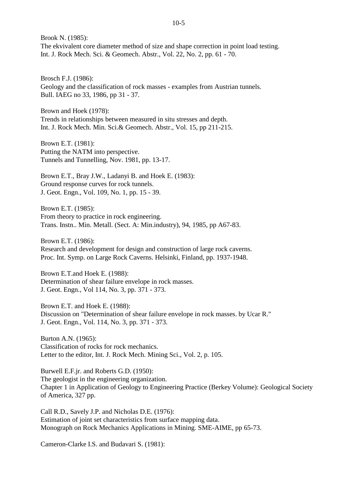Brook N. (1985): The ekvivalent core diameter method of size and shape correction in point load testing. Int. J. Rock Mech. Sci. & Geomech. Abstr., Vol. 22, No. 2, pp. 61 - 70.

Brosch F.J. (1986): Geology and the classification of rock masses - examples from Austrian tunnels. Bull. IAEG no 33, 1986, pp 31 - 37.

Brown and Hoek (1978): Trends in relationships between measured in situ stresses and depth. Int. J. Rock Mech. Min. Sci.& Geomech. Abstr., Vol. 15, pp 211-215.

Brown E.T. (1981): Putting the NATM into perspective. Tunnels and Tunnelling, Nov. 1981, pp. 13-17.

Brown E.T., Bray J.W., Ladanyi B. and Hoek E. (1983): Ground response curves for rock tunnels. J. Geot. Engn., Vol. 109, No. 1, pp. 15 - 39.

Brown E.T. (1985): From theory to practice in rock engineering. Trans. Instn.. Min. Metall. (Sect. A: Min.industry), 94, 1985, pp A67-83.

Brown E.T. (1986): Research and development for design and construction of large rock caverns. Proc. Int. Symp. on Large Rock Caverns. Helsinki, Finland, pp. 1937-1948.

Brown E.T.and Hoek E. (1988): Determination of shear failure envelope in rock masses. J. Geot. Engn., Vol 114, No. 3, pp. 371 - 373.

Brown E.T. and Hoek E. (1988): Discussion on "Determination of shear failure envelope in rock masses. by Ucar R." J. Geot. Engn., Vol. 114, No. 3, pp. 371 - 373.

Burton A.N. (1965): Classification of rocks for rock mechanics. Letter to the editor, Int. J. Rock Mech. Mining Sci., Vol. 2, p. 105.

Burwell E.F.jr. and Roberts G.D. (1950): The geologist in the engineering organization. Chapter 1 in Application of Geology to Engineering Practice (Berkey Volume): Geological Society of America, 327 pp.

Call R.D., Savely J.P. and Nicholas D.E. (1976): Estimation of joint set characteristics from surface mapping data. Monograph on Rock Mechanics Applications in Mining. SME-AIME, pp 65-73.

Cameron-Clarke I.S. and Budavari S. (1981):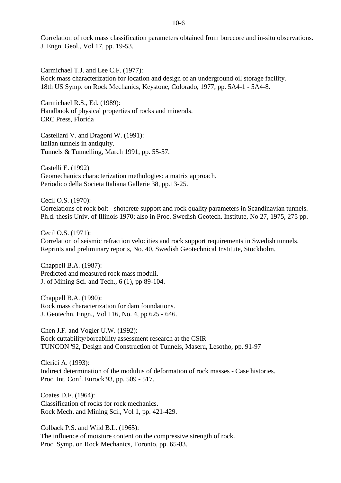Correlation of rock mass classification parameters obtained from borecore and in-situ observations. J. Engn. Geol., Vol 17, pp. 19-53.

Carmichael T.J. and Lee C.F. (1977): Rock mass characterization for location and design of an underground oil storage facility. 18th US Symp. on Rock Mechanics, Keystone, Colorado, 1977, pp. 5A4-1 - 5A4-8.

Carmichael R.S., Ed. (1989): Handbook of physical properties of rocks and minerals. CRC Press, Florida

Castellani V. and Dragoni W. (1991): Italian tunnels in antiquity. Tunnels & Tunnelling, March 1991, pp. 55-57.

Castelli E. (1992) Geomechanics characterization methologies: a matrix approach. Periodico della Societa Italiana Gallerie 38, pp.13-25.

Cecil O.S. (1970): Correlations of rock bolt - shotcrete support and rock quality parameters in Scandinavian tunnels. Ph.d. thesis Univ. of Illinois 1970; also in Proc. Swedish Geotech. Institute, No 27, 1975, 275 pp.

Cecil O.S. (1971): Correlation of seismic refraction velocities and rock support requirements in Swedish tunnels. Reprints and preliminary reports, No. 40, Swedish Geotechnical Institute, Stockholm.

Chappell B.A. (1987): Predicted and measured rock mass moduli. J. of Mining Sci. and Tech., 6 (1), pp 89-104.

Chappell B.A. (1990): Rock mass characterization for dam foundations. J. Geotechn. Engn., Vol 116, No. 4, pp 625 - 646.

Chen J.F. and Vogler U.W. (1992): Rock cuttability/boreability assessment research at the CSIR TUNCON '92, Design and Construction of Tunnels, Maseru, Lesotho, pp. 91-97

Clerici A. (1993): Indirect determination of the modulus of deformation of rock masses - Case histories. Proc. Int. Conf. Eurock'93, pp. 509 - 517.

Coates D.F. (1964): Classification of rocks for rock mechanics. Rock Mech. and Mining Sci., Vol 1, pp. 421-429.

Colback P.S. and Wiid B.L. (1965): The influence of moisture content on the compressive strength of rock. Proc. Symp. on Rock Mechanics, Toronto, pp. 65-83.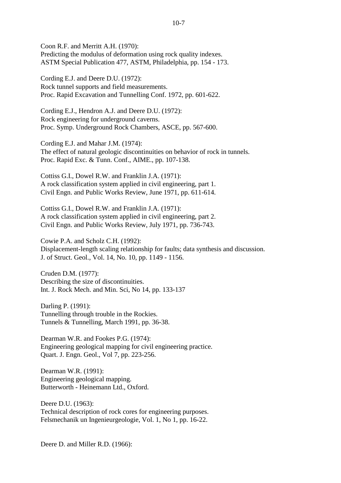Coon R.F. and Merritt A.H. (1970): Predicting the modulus of deformation using rock quality indexes. ASTM Special Publication 477, ASTM, Philadelphia, pp. 154 - 173.

Cording E.J. and Deere D.U. (1972): Rock tunnel supports and field measurements. Proc. Rapid Excavation and Tunnelling Conf. 1972, pp. 601-622.

Cording E.J., Hendron A.J. and Deere D.U. (1972): Rock engineering for underground caverns. Proc. Symp. Underground Rock Chambers, ASCE, pp. 567-600.

Cording E.J. and Mahar J.M. (1974): The effect of natural geologic discontinuities on behavior of rock in tunnels. Proc. Rapid Exc. & Tunn. Conf., AIME., pp. 107-138.

Cottiss G.I., Dowel R.W. and Franklin J.A. (1971): A rock classification system applied in civil engineering, part 1. Civil Engn. and Public Works Review, June 1971, pp. 611-614.

Cottiss G.I., Dowel R.W. and Franklin J.A. (1971): A rock classification system applied in civil engineering, part 2. Civil Engn. and Public Works Review, July 1971, pp. 736-743.

Cowie P.A. and Scholz C.H. (1992): Displacement-length scaling relationship for faults; data synthesis and discussion. J. of Struct. Geol., Vol. 14, No. 10, pp. 1149 - 1156.

Cruden D.M. (1977): Describing the size of discontinuities. Int. J. Rock Mech. and Min. Sci, No 14, pp. 133-137

Darling P. (1991): Tunnelling through trouble in the Rockies. Tunnels & Tunnelling, March 1991, pp. 36-38.

Dearman W.R. and Fookes P.G. (1974): Engineering geological mapping for civil engineering practice. Quart. J. Engn. Geol., Vol 7, pp. 223-256.

Dearman W.R. (1991): Engineering geological mapping. Butterworth - Heinemann Ltd., Oxford.

Deere D.U. (1963): Technical description of rock cores for engineering purposes. Felsmechanik un Ingenieurgeologie, Vol. 1, No 1, pp. 16-22.

Deere D. and Miller R.D. (1966):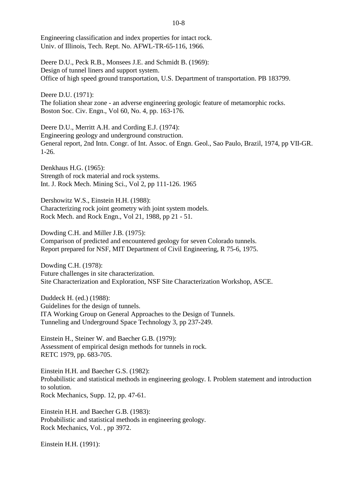Engineering classification and index properties for intact rock. Univ. of Illinois, Tech. Rept. No. AFWL-TR-65-116, 1966.

Deere D.U., Peck R.B., Monsees J.E. and Schmidt B. (1969): Design of tunnel liners and support system. Office of high speed ground transportation, U.S. Department of transportation. PB 183799.

Deere D.U. (1971): The foliation shear zone - an adverse engineering geologic feature of metamorphic rocks. Boston Soc. Civ. Engn., Vol 60, No. 4, pp. 163-176.

Deere D.U., Merritt A.H. and Cording E.J. (1974): Engineering geology and underground construction. General report, 2nd Intn. Congr. of Int. Assoc. of Engn. Geol., Sao Paulo, Brazil, 1974, pp VII-GR. 1-26.

Denkhaus H.G. (1965): Strength of rock material and rock systems. Int. J. Rock Mech. Mining Sci., Vol 2, pp 111-126. 1965

Dershowitz W.S., Einstein H.H. (1988): Characterizing rock joint geometry with joint system models. Rock Mech. and Rock Engn., Vol 21, 1988, pp 21 - 51.

Dowding C.H. and Miller J.B. (1975): Comparison of predicted and encountered geology for seven Colorado tunnels. Report prepared for NSF, MIT Department of Civil Engineering, R 75-6, 1975.

Dowding C.H. (1978): Future challenges in site characterization. Site Characterization and Exploration, NSF Site Characterization Workshop, ASCE.

Duddeck H. (ed.) (1988): Guidelines for the design of tunnels. ITA Working Group on General Approaches to the Design of Tunnels. Tunneling and Underground Space Technology 3, pp 237-249.

Einstein H., Steiner W. and Baecher G.B. (1979): Assessment of empirical design methods for tunnels in rock. RETC 1979, pp. 683-705.

Einstein H.H. and Baecher G.S. (1982): Probabilistic and statistical methods in engineering geology. I. Problem statement and introduction to solution. Rock Mechanics, Supp. 12, pp. 47-61.

Einstein H.H. and Baecher G.B. (1983): Probabilistic and statistical methods in engineering geology. Rock Mechanics, Vol. , pp 3972.

Einstein H.H. (1991):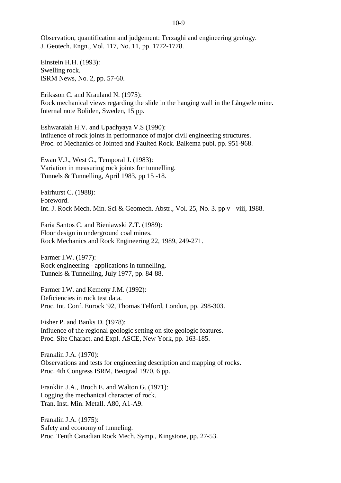Observation, quantification and judgement: Terzaghi and engineering geology. J. Geotech. Engn., Vol. 117, No. 11, pp. 1772-1778.

Einstein H.H. (1993): Swelling rock. ISRM News, No. 2, pp. 57-60.

Eriksson C. and Krauland N. (1975): Rock mechanical views regarding the slide in the hanging wall in the Långsele mine. Internal note Boliden, Sweden, 15 pp.

Eshwaraiah H.V. and Upadhyaya V.S (1990): Influence of rock joints in performance of major civil engineering structures. Proc. of Mechanics of Jointed and Faulted Rock. Balkema publ. pp. 951-968.

Ewan V.J., West G., Temporal J. (1983): Variation in measuring rock joints for tunnelling. Tunnels & Tunnelling, April 1983, pp 15 -18.

Fairhurst C. (1988): Foreword. Int. J. Rock Mech. Min. Sci & Geomech. Abstr., Vol. 25, No. 3. pp v - viii, 1988.

Faria Santos C. and Bieniawski Z.T. (1989): Floor design in underground coal mines. Rock Mechanics and Rock Engineering 22, 1989, 249-271.

Farmer I.W. (1977): Rock engineering - applications in tunnelling. Tunnels & Tunnelling, July 1977, pp. 84-88.

Farmer I.W. and Kemeny J.M. (1992): Deficiencies in rock test data. Proc. Int. Conf. Eurock '92, Thomas Telford, London, pp. 298-303.

Fisher P. and Banks D. (1978): Influence of the regional geologic setting on site geologic features. Proc. Site Charact. and Expl. ASCE, New York, pp. 163-185.

Franklin J.A. (1970): Observations and tests for engineering description and mapping of rocks. Proc. 4th Congress ISRM, Beograd 1970, 6 pp.

Franklin J.A., Broch E. and Walton G. (1971): Logging the mechanical character of rock. Tran. Inst. Min. Metall. A80, A1-A9.

Franklin J.A. (1975): Safety and economy of tunneling. Proc. Tenth Canadian Rock Mech. Symp., Kingstone, pp. 27-53.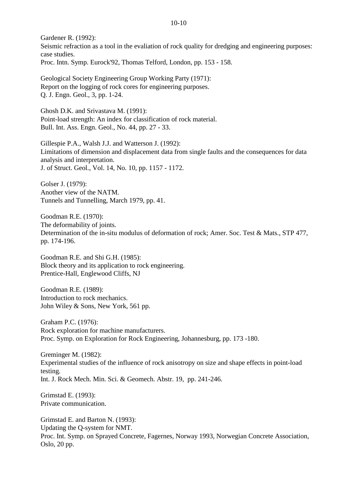Gardener R. (1992): Seismic refraction as a tool in the evaliation of rock quality for dredging and engineering purposes: case studies. Proc. Intn. Symp. Eurock'92, Thomas Telford, London, pp. 153 - 158.

Geological Society Engineering Group Working Party (1971): Report on the logging of rock cores for engineering purposes. Q. J. Engn. Geol., 3, pp. 1-24.

Ghosh D.K. and Srivastava M. (1991): Point-load strength: An index for classification of rock material. Bull. Int. Ass. Engn. Geol., No. 44, pp. 27 - 33.

Gillespie P.A., Walsh J.J. and Watterson J. (1992): Limitations of dimension and displacement data from single faults and the consequences for data analysis and interpretation. J. of Struct. Geol., Vol. 14, No. 10, pp. 1157 - 1172.

Golser J. (1979): Another view of the NATM. Tunnels and Tunnelling, March 1979, pp. 41.

Goodman R.E. (1970): The deformability of joints. Determination of the in-situ modulus of deformation of rock; Amer. Soc. Test & Mats., STP 477, pp. 174-196.

Goodman R.E. and Shi G.H. (1985): Block theory and its application to rock engineering. Prentice-Hall, Englewood Cliffs, NJ

Goodman R.E. (1989): Introduction to rock mechanics. John Wiley & Sons, New York, 561 pp.

Graham P.C. (1976): Rock exploration for machine manufacturers. Proc. Symp. on Exploration for Rock Engineering, Johannesburg, pp. 173 -180.

Greminger M. (1982): Experimental studies of the influence of rock anisotropy on size and shape effects in point-load testing. Int. J. Rock Mech. Min. Sci. & Geomech. Abstr. 19, pp. 241-246.

Grimstad E. (1993): Private communication.

Grimstad E. and Barton N. (1993): Updating the Q-system for NMT. Proc. Int. Symp. on Sprayed Concrete, Fagernes, Norway 1993, Norwegian Concrete Association, Oslo, 20 pp.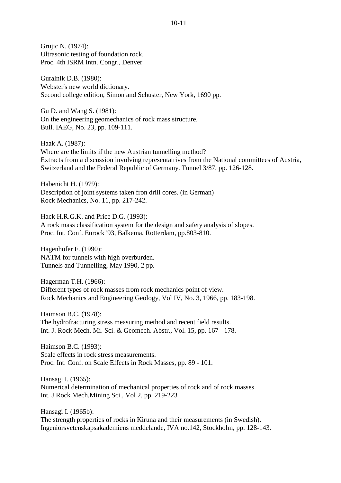Grujic N. (1974): Ultrasonic testing of foundation rock. Proc. 4th ISRM Intn. Congr., Denver

Guralnik D.B. (1980): Webster's new world dictionary. Second college edition, Simon and Schuster, New York, 1690 pp.

Gu D. and Wang S. (1981): On the engineering geomechanics of rock mass structure. Bull. IAEG, No. 23, pp. 109-111.

Haak A. (1987): Where are the limits if the new Austrian tunnelling method? Extracts from a discussion involving representatrives from the National committees of Austria, Switzerland and the Federal Republic of Germany. Tunnel 3/87, pp. 126-128.

Habenicht H. (1979): Description of joint systems taken fron drill cores. (in German) Rock Mechanics, No. 11, pp. 217-242.

Hack H.R.G.K. and Price D.G. (1993): A rock mass classification system for the design and safety analysis of slopes. Proc. Int. Conf. Eurock '93, Balkema, Rotterdam, pp.803-810.

Hagenhofer F. (1990): NATM for tunnels with high overburden. Tunnels and Tunnelling, May 1990, 2 pp.

Hagerman T.H. (1966): Different types of rock masses from rock mechanics point of view. Rock Mechanics and Engineering Geology, Vol IV, No. 3, 1966, pp. 183-198.

Haimson B.C. (1978): The hydrofracturing stress measuring method and recent field results. Int. J. Rock Mech. Mi. Sci. & Geomech. Abstr., Vol. 15, pp. 167 - 178.

Haimson B.C. (1993): Scale effects in rock stress measurements. Proc. Int. Conf. on Scale Effects in Rock Masses, pp. 89 - 101.

Hansagi I. (1965): Numerical determination of mechanical properties of rock and of rock masses. Int. J.Rock Mech.Mining Sci., Vol 2, pp. 219-223

Hansagi I. (1965b): The strength properties of rocks in Kiruna and their measurements (in Swedish). Ingeniörsvetenskapsakademiens meddelande, IVA no.142, Stockholm, pp. 128-143.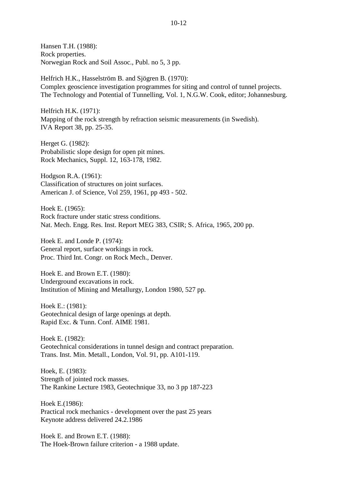Hansen T.H. (1988): Rock properties. Norwegian Rock and Soil Assoc., Publ. no 5, 3 pp.

Helfrich H.K., Hasselström B. and Sjögren B. (1970): Complex geoscience investigation programmes for siting and control of tunnel projects. The Technology and Potential of Tunnelling, Vol. 1, N.G.W. Cook, editor; Johannesburg.

Helfrich H.K. (1971): Mapping of the rock strength by refraction seismic measurements (in Swedish). IVA Report 38, pp. 25-35.

Herget G. (1982): Probabilistic slope design for open pit mines. Rock Mechanics, Suppl. 12, 163-178, 1982.

Hodgson R.A. (1961): Classification of structures on joint surfaces. American J. of Science, Vol 259, 1961, pp 493 - 502.

Hoek E. (1965): Rock fracture under static stress conditions. Nat. Mech. Engg. Res. Inst. Report MEG 383, CSIR; S. Africa, 1965, 200 pp.

Hoek E. and Londe P. (1974): General report, surface workings in rock. Proc. Third Int. Congr. on Rock Mech., Denver.

Hoek E. and Brown E.T. (1980): Underground excavations in rock. Institution of Mining and Metallurgy, London 1980, 527 pp.

Hoek E.: (1981): Geotechnical design of large openings at depth. Rapid Exc. & Tunn. Conf. AIME 1981.

Hoek E. (1982): Geotechnical considerations in tunnel design and contract preparation. Trans. Inst. Min. Metall., London, Vol. 91, pp. A101-119.

Hoek, E. (1983): Strength of jointed rock masses. The Rankine Lecture 1983, Geotechnique 33, no 3 pp 187-223

Hoek E.(1986): Practical rock mechanics - development over the past 25 years Keynote address delivered 24.2.1986

Hoek E. and Brown E.T. (1988): The Hoek-Brown failure criterion - a 1988 update.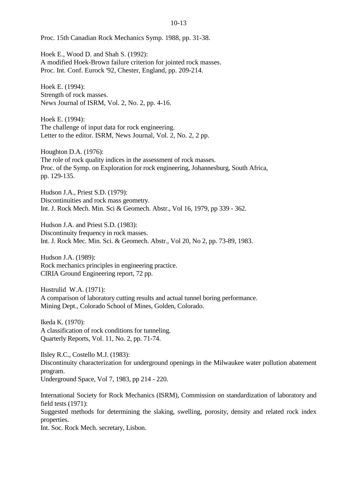Proc. 15th Canadian Rock Mechanics Symp. 1988, pp. 31-38.

Hoek E., Wood D. and Shah S. (1992): A modified Hoek-Brown failure criterion for jointed rock masses. Proc. Int. Conf. Eurock '92, Chester, England, pp. 209-214.

Hoek E. (1994): Strength of rock masses. News Journal of ISRM, Vol. 2, No. 2, pp. 4-16.

Hoek E. (1994): The challenge of input data for rock engineering. Letter to the editor. ISRM, News Journal, Vol. 2, No. 2, 2 pp.

Houghton D.A. (1976): The role of rock quality indices in the assessment of rock masses. Proc. of the Symp. on Exploration for rock engineering, Johannesburg, South Africa, pp. 129-135.

Hudson J.A., Priest S.D. (1979): Discontinuities and rock mass geometry. Int. J. Rock Mech. Min. Sci & Geomech. Abstr., Vol 16, 1979, pp 339 - 362.

Hudson J.A. and Priest S.D. (1983): Discontinuity frequency in rock masses. Int. J. Rock Mec. Min. Sci. & Geomech. Abstr., Vol 20, No 2, pp. 73-89, 1983.

Hudson J.A. (1989): Rock mechanics principles in engineering practice. CIRIA Ground Engineering report, 72 pp.

Hustrulid W.A. (1971): A comparison of laboratory cutting results and actual tunnel boring performance. Mining Dept., Colorado School of Mines, Golden, Colorado.

Ikeda K. (1970): A classification of rock conditions for tunneling. Quarterly Reports, Vol. 11, No. 2, pp. 71-74.

Ilsley R.C., Costello M.J. (1983): Discontinuity characterization for underground openings in the Milwaukee water pollution abatement program. Underground Space, Vol 7, 1983, pp 214 - 220.

International Society for Rock Mechanics (ISRM), Commission on standardization of laboratory and field tests (1971):

Suggested methods for determining the slaking, swelling, porosity, density and related rock index properties.

Int. Soc. Rock Mech. secretary, Lisbon.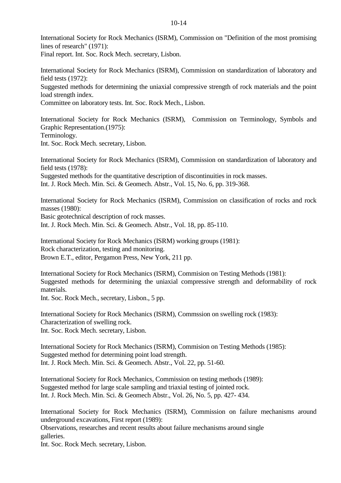International Society for Rock Mechanics (ISRM), Commission on "Definition of the most promising lines of research" (1971):

Final report. Int. Soc. Rock Mech. secretary, Lisbon.

International Society for Rock Mechanics (ISRM), Commission on standardization of laboratory and field tests (1972):

Suggested methods for determining the uniaxial compressive strength of rock materials and the point load strength index.

Committee on laboratory tests. Int. Soc. Rock Mech., Lisbon.

International Society for Rock Mechanics (ISRM), Commission on Terminology, Symbols and Graphic Representation.(1975): Terminology. Int. Soc. Rock Mech. secretary, Lisbon.

International Society for Rock Mechanics (ISRM), Commission on standardization of laboratory and field tests (1978):

Suggested methods for the quantitative description of discontinuities in rock masses.

Int. J. Rock Mech. Min. Sci. & Geomech. Abstr., Vol. 15, No. 6, pp. 319-368.

International Society for Rock Mechanics (ISRM), Commission on classification of rocks and rock masses (1980):

Basic geotechnical description of rock masses.

Int. J. Rock Mech. Min. Sci. & Geomech. Abstr., Vol. 18, pp. 85-110.

International Society for Rock Mechanics (ISRM) working groups (1981): Rock characterization, testing and monitoring. Brown E.T., editor, Pergamon Press, New York, 211 pp.

International Society for Rock Mechanics (ISRM), Commision on Testing Methods (1981): Suggested methods for determining the uniaxial compressive strength and deformability of rock materials.

Int. Soc. Rock Mech., secretary, Lisbon., 5 pp.

International Society for Rock Mechanics (ISRM), Commssion on swelling rock (1983): Characterization of swelling rock. Int. Soc. Rock Mech. secretary, Lisbon.

International Society for Rock Mechanics (ISRM), Commision on Testing Methods (1985): Suggested method for determining point load strength. Int. J. Rock Mech. Min. Sci. & Geomech. Abstr., Vol. 22, pp. 51-60.

International Society for Rock Mechanics, Commission on testing methods (1989): Suggested method for large scale sampling and triaxial testing of jointed rock. Int. J. Rock Mech. Min. Sci. & Geomech Abstr., Vol. 26, No. 5, pp. 427- 434.

International Society for Rock Mechanics (ISRM), Commission on failure mechanisms around underground excavations, First report (1989):

Observations, researches and recent results about failure mechanisms around single galleries.

Int. Soc. Rock Mech. secretary, Lisbon.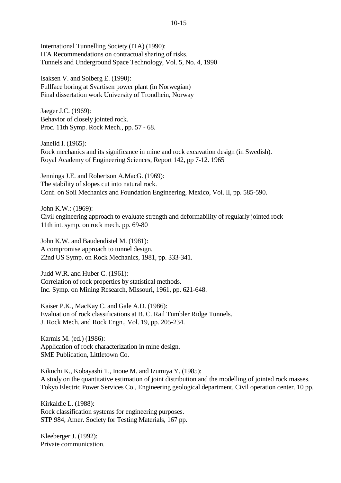International Tunnelling Society (ITA) (1990): ITA Recommendations on contractual sharing of risks. Tunnels and Underground Space Technology, Vol. 5, No. 4, 1990

Isaksen V. and Solberg E. (1990): Fullface boring at Svartisen power plant (in Norwegian) Final dissertation work University of Trondhein, Norway

Jaeger J.C. (1969): Behavior of closely jointed rock. Proc. 11th Symp. Rock Mech., pp. 57 - 68.

Janelid I. (1965): Rock mechanics and its significance in mine and rock excavation design (in Swedish). Royal Academy of Engineering Sciences, Report 142, pp 7-12. 1965

Jennings J.E. and Robertson A.MacG. (1969): The stability of slopes cut into natural rock. Conf. on Soil Mechanics and Foundation Engineering, Mexico, Vol. II, pp. 585-590.

John K.W.: (1969): Civil engineering approach to evaluate strength and deformability of regularly jointed rock 11th int. symp. on rock mech. pp. 69-80

John K.W. and Baudendistel M. (1981): A compromise approach to tunnel design. 22nd US Symp. on Rock Mechanics, 1981, pp. 333-341.

Judd W.R. and Huber C. (1961): Correlation of rock properties by statistical methods. Inc. Symp. on Mining Research, Missouri, 1961, pp. 621-648.

Kaiser P.K., MacKay C. and Gale A.D. (1986): Evaluation of rock classifications at B. C. Rail Tumbler Ridge Tunnels. J. Rock Mech. and Rock Engn., Vol. 19, pp. 205-234.

Karmis M. (ed.) (1986): Application of rock characterization in mine design. SME Publication, Littletown Co.

Kikuchi K., Kobayashi T., Inoue M. and Izumiya Y. (1985): A study on the quantitative estimation of joint distribution and the modelling of jointed rock masses. Tokyo Electric Power Services Co., Engineering geological department, Civil operation center. 10 pp.

Kirkaldie L. (1988): Rock classification systems for engineering purposes. STP 984, Amer. Society for Testing Materials, 167 pp.

Kleeberger J. (1992): Private communication.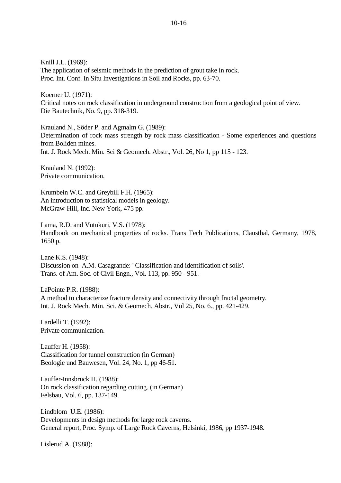Knill J.L. (1969): The application of seismic methods in the prediction of grout take in rock. Proc. Int. Conf. In Situ Investigations in Soil and Rocks, pp. 63-70.

Koerner U. (1971): Critical notes on rock classification in underground construction from a geological point of view. Die Bautechnik, No. 9, pp. 318-319.

Krauland N., Söder P. and Agmalm G. (1989): Determination of rock mass strength by rock mass classification - Some experiences and questions from Boliden mines. Int. J. Rock Mech. Min. Sci & Geomech. Abstr., Vol. 26, No 1, pp 115 - 123.

Krauland N. (1992): Private communication.

Krumbein W.C. and Greybill F.H. (1965): An introduction to statistical models in geology. McGraw-Hill, Inc. New York, 475 pp.

Lama, R.D. and Vutukuri, V.S. (1978): Handbook on mechanical properties of rocks. Trans Tech Publications, Clausthal, Germany, 1978, 1650 p.

Lane K.S. (1948): Discussion on A.M. Casagrande: ' Classification and identification of soils'. Trans. of Am. Soc. of Civil Engn., Vol. 113, pp. 950 - 951.

LaPointe P.R. (1988): A method to characterize fracture density and connectivity through fractal geometry. Int. J. Rock Mech. Min. Sci. & Geomech. Abstr., Vol 25, No. 6., pp. 421-429.

Lardelli T. (1992): Private communication.

Lauffer H. (1958): Classification for tunnel construction (in German) Beologie und Bauwesen, Vol. 24, No. 1, pp 46-51.

Lauffer-Innsbruck H. (1988): On rock classification regarding cutting. (in German) Felsbau, Vol. 6, pp. 137-149.

Lindblom U.E. (1986): Developments in design methods for large rock caverns. General report, Proc. Symp. of Large Rock Caverns, Helsinki, 1986, pp 1937-1948.

Lislerud A. (1988):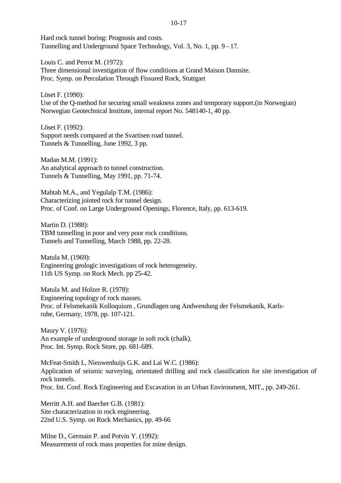Hard rock tunnel boring: Prognosis and costs. Tunnelling and Underground Space Technology, Vol. 3, No. 1, pp. 9 - 17.

Louis C. and Perrot M. (1972): Three dimensional investigation of flow conditions at Grand Maison Damsite. Proc. Symp. on Percolation Through Fissured Rock, Stuttgart

Löset F. (1990): Use of the Q-method for securing small weakness zones and temporary support.(in Norwegian) Norwegian Geotechnical Institute, internal report No. 548140-1, 40 pp.

Löset F. (1992): Support needs compared at the Svartisen road tunnel. Tunnels & Tunnelling, June 1992, 3 pp.

Madan M.M. (1991): An analytical approach to tunnel construction. Tunnels & Tunnelling, May 1991, pp. 71-74.

Mahtab M.A., and Yegulalp T.M. (1986): Characterizing jointed rock for tunnel design. Proc. of Conf. on Large Underground Openings, Florence, Italy, pp. 613-619.

Martin D. (1988): TBM tunnelling in poor and very poor rock conditions. Tunnels and Tunnelling, March 1988, pp. 22-28.

Matula M. (1969): Engineering geologic investigations of rock heterogeneity. 11th US Symp. on Rock Mech. pp 25-42.

Matula M. and Holzer R. (1978): Engineering topology of rock masses. Proc. of Felsmekanik Kolloquium , Grundlagen ung Andwendung der Felsmekanik, Karlsruhe, Germany, 1978, pp. 107-121.

Maury V. (1976): An example of underground storage in soft rock (chalk). Proc. Int. Symp. Rock Store, pp. 681-689.

McFeat-Smith I., Nieuwenhuijs G.K. and Lai W.C. (1986): Application of seismic surveying, orientated drilling and rock classification for site investigation of rock tunnels. Proc. Int. Conf. Rock Engineering and Excavation in an Urban Environment, MIT., pp. 249-261.

Merritt A.H. and Baecher G.B. (1981): Site characterization in rock engineering. 22nd U.S. Symp. on Rock Mechanics, pp. 49-66

Milne D., Germain P. and Potvin Y. (1992): Measurement of rock mass properties for mine design.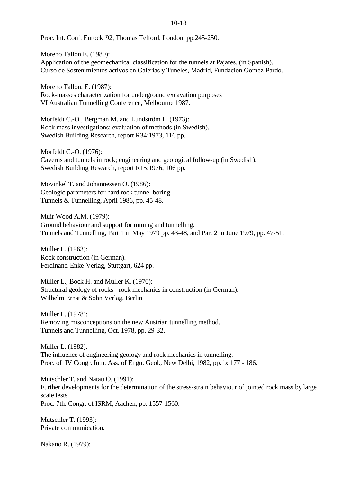Proc. Int. Conf. Eurock '92, Thomas Telford, London, pp.245-250.

Moreno Tallon E. (1980): Application of the geomechanical classification for the tunnels at Pajares. (in Spanish). Curso de Sostenimientos activos en Galerias y Tuneles, Madrid, Fundacion Gomez-Pardo.

Moreno Tallon, E. (1987): Rock-masses characterization for underground excavation purposes VI Australian Tunnelling Conference, Melbourne 1987.

Morfeldt C.-O., Bergman M. and Lundström L. (1973): Rock mass investigations; evaluation of methods (in Swedish). Swedish Building Research, report R34:1973, 116 pp.

Morfeldt C.-O. (1976): Caverns and tunnels in rock; engineering and geological follow-up (in Swedish). Swedish Building Research, report R15:1976, 106 pp.

Movinkel T. and Johannessen O. (1986): Geologic parameters for hard rock tunnel boring. Tunnels & Tunnelling, April 1986, pp. 45-48.

Muir Wood A.M. (1979): Ground behaviour and support for mining and tunnelling. Tunnels and Tunnelling, Part 1 in May 1979 pp. 43-48, and Part 2 in June 1979, pp. 47-51.

Müller L. (1963): Rock construction (in German). Ferdinand-Enke-Verlag, Stuttgart, 624 pp.

Müller L., Bock H. and Müller K. (1970): Structural geology of rocks - rock mechanics in construction (in German). Wilhelm Ernst & Sohn Verlag, Berlin

Müller L. (1978): Removing misconceptions on the new Austrian tunnelling method. Tunnels and Tunnelling, Oct. 1978, pp. 29-32.

Müller L. (1982): The influence of engineering geology and rock mechanics in tunnelling. Proc. of IV Congr. Intn. Ass. of Engn. Geol., New Delhi, 1982, pp. ix 177 - 186.

Mutschler T. and Natau O. (1991): Further developments for the determination of the stress-strain behaviour of jointed rock mass by large scale tests. Proc. 7th. Congr. of ISRM, Aachen, pp. 1557-1560.

Mutschler T. (1993): Private communication.

Nakano R. (1979):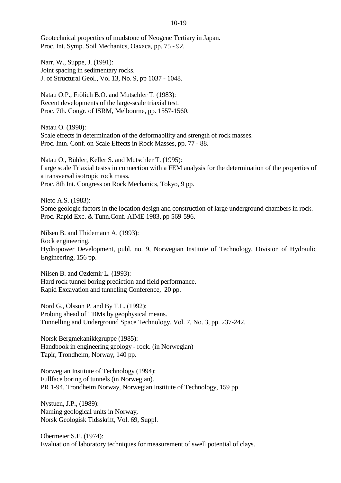Geotechnical properties of mudstone of Neogene Tertiary in Japan. Proc. Int. Symp. Soil Mechanics, Oaxaca, pp. 75 - 92.

Narr, W., Suppe, J. (1991): Joint spacing in sedimentary rocks. J. of Structural Geol., Vol 13, No. 9, pp 1037 - 1048.

Natau O.P., Frölich B.O. and Mutschler T. (1983): Recent developments of the large-scale triaxial test. Proc. 7th. Congr. of ISRM, Melbourne, pp. 1557-1560.

Natau O. (1990): Scale effects in determination of the deformability and strength of rock masses. Proc. Intn. Conf. on Scale Effects in Rock Masses, pp. 77 - 88.

Natau O., Bühler, Keller S. and Mutschler T. (1995): Large scale Triaxial testss in connection with a FEM analysis for the determination of the properties of a transversal isotropic rock mass. Proc. 8th Int. Congress on Rock Mechanics, Tokyo, 9 pp.

Nieto A.S. (1983): Some geologic factors in the location design and construction of large underground chambers in rock. Proc. Rapid Exc. & Tunn.Conf. AIME 1983, pp 569-596.

Nilsen B. and Thidemann A. (1993): Rock engineering. Hydropower Development, publ. no. 9, Norwegian Institute of Technology, Division of Hydraulic Engineering, 156 pp.

Nilsen B. and Ozdemir L. (1993): Hard rock tunnel boring prediction and field performance. Rapid Excavation and tunneling Conference, 20 pp.

Nord G., Olsson P. and By T.L. (1992): Probing ahead of TBMs by geophysical means. Tunnelling and Underground Space Technology, Vol. 7, No. 3, pp. 237-242.

Norsk Bergmekanikkgruppe (1985): Handbook in engineering geology - rock. (in Norwegian) Tapir, Trondheim, Norway, 140 pp.

Norwegian Institute of Technology (1994): Fullface boring of tunnels (in Norwegian). PR 1-94, Trondheim Norway, Norwegian Institute of Technology, 159 pp.

Nystuen, J.P., (1989): Naming geological units in Norway, Norsk Geologisk Tidsskrift, Vol. 69, Suppl.

Obermeier S.E. (1974): Evaluation of laboratory techniques for measurement of swell potential of clays.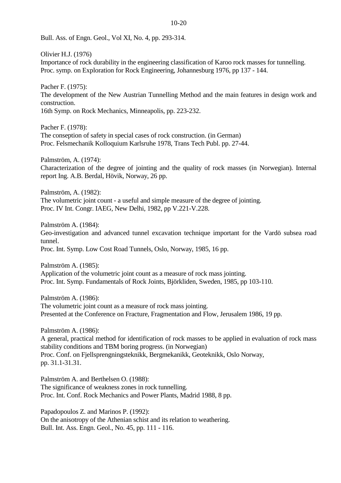Bull. Ass. of Engn. Geol., Vol XI, No. 4, pp. 293-314.

Olivier H.J. (1976) Importance of rock durability in the engineering classification of Karoo rock masses for tunnelling. Proc. symp. on Exploration for Rock Engineering, Johannesburg 1976, pp 137 - 144.

Pacher F. (1975): The development of the New Austrian Tunnelling Method and the main features in design work and construction. 16th Symp. on Rock Mechanics, Minneapolis, pp. 223-232.

Pacher F. (1978): The conseption of safety in special cases of rock construction. (in German) Proc. Felsmechanik Kolloquium Karlsruhe 1978, Trans Tech Publ. pp. 27-44.

Palmström, A. (1974): Characterization of the degree of jointing and the quality of rock masses (in Norwegian). Internal report Ing. A.B. Berdal, Hövik, Norway, 26 pp.

Palmström, A. (1982): The volumetric joint count - a useful and simple measure of the degree of jointing. Proc. IV Int. Congr. IAEG, New Delhi, 1982, pp V.221-V.228.

Palmström A. (1984): Geo-investigation and advanced tunnel excavation technique important for the Vardö subsea road tunnel. Proc. Int. Symp. Low Cost Road Tunnels, Oslo, Norway, 1985, 16 pp.

Palmström A. (1985): Application of the volumetric joint count as a measure of rock mass jointing. Proc. Int. Symp. Fundamentals of Rock Joints, Björkliden, Sweden, 1985, pp 103-110.

Palmström A. (1986): The volumetric joint count as a measure of rock mass jointing. Presented at the Conference on Fracture, Fragmentation and Flow, Jerusalem 1986, 19 pp.

Palmström A. (1986):

A general, practical method for identification of rock masses to be applied in evaluation of rock mass stability conditions and TBM boring progress. (in Norwegian) Proc. Conf. on Fjellsprengningsteknikk, Bergmekanikk, Geoteknikk, Oslo Norway, pp. 31.1-31.31.

Palmström A. and Berthelsen O. (1988): The significance of weakness zones in rock tunnelling. Proc. Int. Conf. Rock Mechanics and Power Plants, Madrid 1988, 8 pp.

Papadopoulos Z. and Marinos P. (1992): On the anisotropy of the Athenian schist and its relation to weathering. Bull. Int. Ass. Engn. Geol., No. 45, pp. 111 - 116.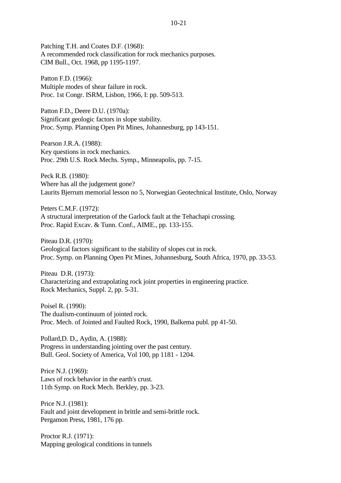Patching T.H. and Coates D.F. (1968): A recommended rock classification for rock mechanics purposes. CIM Bull., Oct. 1968, pp 1195-1197.

Patton F.D. (1966): Multiple modes of shear failure in rock. Proc. 1st Congr. ISRM, Lisbon, 1966, I: pp. 509-513.

Patton F.D., Deere D.U. (1970a): Significant geologic factors in slope stability. Proc. Symp. Planning Open Pit Mines, Johannesburg, pp 143-151.

Pearson J.R.A. (1988): Key questions in rock mechanics. Proc. 29th U.S. Rock Mechs. Symp., Minneapolis, pp. 7-15.

Peck R.B. (1980): Where has all the judgement gone? Laurits Bjerrum memorial lesson no 5, Norwegian Geotechnical Institute, Oslo, Norway

Peters C.M.F. (1972): A structural interpretation of the Garlock fault at the Tehachapi crossing. Proc. Rapid Excav. & Tunn. Conf., AIME., pp. 133-155.

Piteau D.R. (1970): Geological factors significant to the stability of slopes cut in rock. Proc. Symp. on Planning Open Pit Mines, Johannesburg, South Africa, 1970, pp. 33-53.

Piteau D.R. (1973): Characterizing and extrapolating rock joint properties in engineering practice. Rock Mechanics, Suppl. 2, pp. 5-31.

Poisel R. (1990): The dualism-continuum of jointed rock. Proc. Mech. of Jointed and Faulted Rock, 1990, Balkema publ. pp 41-50.

Pollard,D. D., Aydin, A. (1988): Progress in understanding jointing over the past century. Bull. Geol. Society of America, Vol 100, pp 1181 - 1204.

Price N.J. (1969): Laws of rock behavior in the earth's crust. 11th Symp. on Rock Mech. Berkley, pp. 3-23.

Price N.J. (1981): Fault and joint development in brittle and semi-brittle rock. Pergamon Press, 1981, 176 pp.

Proctor R.J. (1971): Mapping geological conditions in tunnels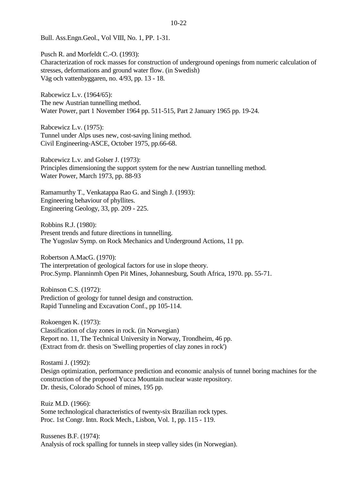Bull. Ass.Engn.Geol., Vol VIII, No. 1, PP. 1-31.

Pusch R. and Morfeldt C.-O. (1993): Characterization of rock masses for construction of underground openings from numeric calculation of stresses, deformations and ground water flow. (in Swedish) Väg och vattenbyggaren, no. 4/93, pp. 13 - 18.

Rabcewicz L.v. (1964/65): The new Austrian tunnelling method. Water Power, part 1 November 1964 pp. 511-515, Part 2 January 1965 pp. 19-24.

Rabcewicz L.v. (1975): Tunnel under Alps uses new, cost-saving lining method. Civil Engineering-ASCE, October 1975, pp.66-68.

Rabcewicz L.v. and Golser J. (1973): Principles dimensioning the support system for the new Austrian tunnelling method. Water Power, March 1973, pp. 88-93

Ramamurthy T., Venkatappa Rao G. and Singh J. (1993): Engineering behaviour of phyllites. Engineering Geology, 33, pp. 209 - 225.

Robbins R.J. (1980): Present trends and future directions in tunnelling. The Yugoslav Symp. on Rock Mechanics and Underground Actions, 11 pp.

Robertson A.MacG. (1970): The interpretation of geological factors for use in slope theory. Proc.Symp. Planninmh Open Pit Mines, Johannesburg, South Africa, 1970. pp. 55-71.

Robinson C.S. (1972): Prediction of geology for tunnel design and construction. Rapid Tunneling and Excavation Conf., pp 105-114.

Rokoengen K. (1973): Classification of clay zones in rock. (in Norwegian) Report no. 11, The Technical University in Norway, Trondheim, 46 pp. (Extract from dr. thesis on 'Swelling properties of clay zones in rock')

Rostami J. (1992): Design optimization, performance prediction and economic analysis of tunnel boring machines for the construction of the proposed Yucca Mountain nuclear waste repository. Dr. thesis, Colorado School of mines, 195 pp.

Ruiz M.D. (1966): Some technological characteristics of twenty-six Brazilian rock types. Proc. 1st Congr. Intn. Rock Mech., Lisbon, Vol. 1, pp. 115 - 119.

Russenes B.F. (1974): Analysis of rock spalling for tunnels in steep valley sides (in Norwegian).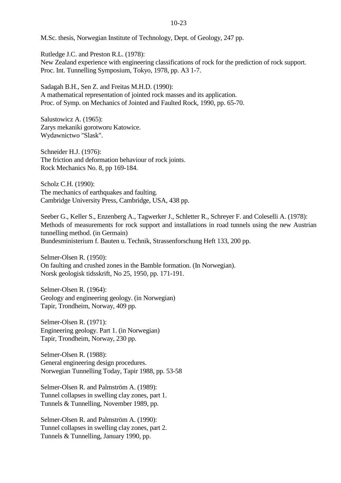M.Sc. thesis, Norwegian Institute of Technology, Dept. of Geology, 247 pp.

Rutledge J.C. and Preston R.L. (1978): New Zealand experience with engineering classifications of rock for the prediction of rock support. Proc. Int. Tunnelling Symposium, Tokyo, 1978, pp. A3 1-7.

Sadagah B.H., Sen Z. and Freitas M.H.D. (1990): A mathematical representation of jointed rock masses and its application. Proc. of Symp. on Mechanics of Jointed and Faulted Rock, 1990, pp. 65-70.

Salustowicz A. (1965): Zarys mekaniki gorotworu Katowice. Wydawnictwo "Slask".

Schneider H.J. (1976): The friction and deformation behaviour of rock joints. Rock Mechanics No. 8, pp 169-184.

Scholz C.H. (1990): The mechanics of earthquakes and faulting. Cambridge University Press, Cambridge, USA, 438 pp.

Seeber G., Keller S., Enzenberg A., Tagwerker J., Schletter R., Schreyer F. and Coleselli A. (1978): Methods of measurements for rock support and installations in road tunnels using the new Austrian tunnelling method. (in Germain) Bundesministerium f. Bauten u. Technik, Strassenforschung Heft 133, 200 pp.

Selmer-Olsen R. (1950): On faulting and crushed zones in the Bamble formation. (In Norwegian). Norsk geologisk tidsskrift, No 25, 1950, pp. 171-191.

Selmer-Olsen R. (1964): Geology and engineering geology. (in Norwegian) Tapir, Trondheim, Norway, 409 pp.

Selmer-Olsen R. (1971): Engineering geology. Part 1. (in Norwegian) Tapir, Trondheim, Norway, 230 pp.

Selmer-Olsen R. (1988): General engineering design procedures. Norwegian Tunnelling Today, Tapir 1988, pp. 53-58

Selmer-Olsen R. and Palmström A. (1989): Tunnel collapses in swelling clay zones, part 1. Tunnels & Tunnelling, November 1989, pp.

Selmer-Olsen R. and Palmström A. (1990): Tunnel collapses in swelling clay zones, part 2. Tunnels & Tunnelling, January 1990, pp.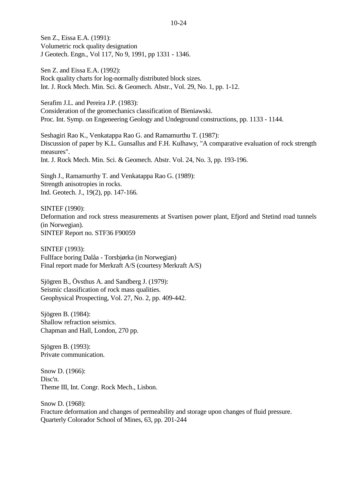Sen Z., Eissa E.A. (1991): Volumetric rock quality designation J Geotech. Engn., Vol 117, No 9, 1991, pp 1331 - 1346.

Sen Z. and Eissa E.A. (1992): Rock quality charts for log-normally distributed block sizes. Int. J. Rock Mech. Min. Sci. & Geomech. Abstr., Vol. 29, No. 1, pp. 1-12.

Serafim J.L. and Pereira J.P. (1983): Consideration of the geomechanics classification of Bieniawski. Proc. Int. Symp. on Engeneering Geology and Undeground constructions, pp. 1133 - 1144.

Seshagiri Rao K., Venkatappa Rao G. and Ramamurthu T. (1987): Discussion of paper by K.L. Gunsallus and F.H. Kulhawy, "A comparative evaluation of rock strength measures". Int. J. Rock Mech. Min. Sci. & Geomech. Abstr. Vol. 24, No. 3, pp. 193-196.

Singh J., Ramamurthy T. and Venkatappa Rao G. (1989): Strength anisotropies in rocks. Ind. Geotech. J., 19(2), pp. 147-166.

SINTEF (1990): Deformation and rock stress measurements at Svartisen power plant, Efjord and Stetind road tunnels (in Norwegian). SINTEF Report no. STF36 F90059

SINTEF (1993): Fullface boring Dalåa - Torsbjørka (in Norwegian) Final report made for Merkraft A/S (courtesy Merkraft A/S)

Sjögren B., Övsthus A. and Sandberg J. (1979): Seismic classification of rock mass qualities. Geophysical Prospecting, Vol. 27, No. 2, pp. 409-442.

Sjögren B. (1984): Shallow refraction seismics. Chapman and Hall, London, 270 pp.

Sjögren B. (1993): Private communication.

Snow D. (1966): Disc'n. Theme III, Int. Congr. Rock Mech., Lisbon.

Snow D. (1968): Fracture deformation and changes of permeability and storage upon changes of fluid pressure. Quarterly Colorador School of Mines, 63, pp. 201-244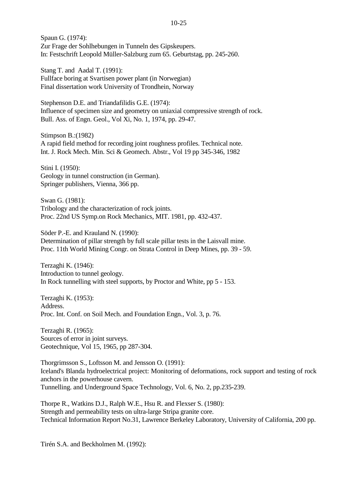Spaun G. (1974): Zur Frage der Sohlhebungen in Tunneln des Gipskeupers. In: Festschrift Leopold Müller-Salzburg zum 65. Geburtstag, pp. 245-260.

Stang T. and Aadal T. (1991): Fullface boring at Svartisen power plant (in Norwegian) Final dissertation work University of Trondhein, Norway

Stephenson D.E. and Triandafilidis G.E. (1974): Influence of specimen size and geometry on uniaxial compressive strength of rock. Bull. Ass. of Engn. Geol., Vol Xi, No. 1, 1974, pp. 29-47.

Stimpson B.:(1982) A rapid field method for recording joint roughness profiles. Technical note. Int. J. Rock Mech. Min. Sci & Geomech. Abstr., Vol 19 pp 345-346, 1982

Stini I. (1950): Geology in tunnel construction (in German). Springer publishers, Vienna, 366 pp.

Swan G. (1981): Tribology and the characterization of rock joints. Proc. 22nd US Symp.on Rock Mechanics, MIT. 1981, pp. 432-437.

Söder P.-E. and Krauland N. (1990): Determination of pillar strength by full scale pillar tests in the Laisvall mine. Proc. 11th World Mining Congr. on Strata Control in Deep Mines, pp. 39 - 59.

Terzaghi K. (1946): Introduction to tunnel geology. In Rock tunnelling with steel supports, by Proctor and White, pp 5 - 153.

Terzaghi K. (1953): Address. Proc. Int. Conf. on Soil Mech. and Foundation Engn., Vol. 3, p. 76.

Terzaghi R. (1965): Sources of error in joint surveys. Geotechnique, Vol 15, 1965, pp 287-304.

Thorgrimsson S., Loftsson M. and Jensson O. (1991): Iceland's Blanda hydroelectrical project: Monitoring of deformations, rock support and testing of rock anchors in the powerhouse cavern. Tunnelling. and Underground Space Technology, Vol. 6, No. 2, pp.235-239.

Thorpe R., Watkins D.J., Ralph W.E., Hsu R. and Flexser S. (1980): Strength and permeability tests on ultra-large Stripa granite core. Technical Information Report No.31, Lawrence Berkeley Laboratory, University of California, 200 pp.

Tirén S.A. and Beckholmen M. (1992):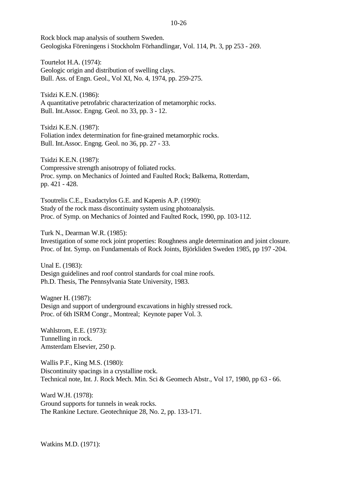Rock block map analysis of southern Sweden. Geologiska Föreningens i Stockholm Förhandlingar, Vol. 114, Pt. 3, pp 253 - 269.

Tourtelot H.A. (1974): Geologic origin and distribution of swelling clays. Bull. Ass. of Engn. Geol., Vol XI, No. 4, 1974, pp. 259-275.

Tsidzi K.E.N. (1986): A quantitative petrofabric characterization of metamorphic rocks. Bull. Int.Assoc. Engng. Geol. no 33, pp. 3 - 12.

Tsidzi K.E.N. (1987): Foliation index determination for fine-grained metamorphic rocks. Bull. Int.Assoc. Engng. Geol. no 36, pp. 27 - 33.

Tsidzi K.E.N. (1987): Compressive strength anisotropy of foliated rocks. Proc. symp. on Mechanics of Jointed and Faulted Rock; Balkema, Rotterdam, pp. 421 - 428.

Tsoutrelis C.E., Exadactylos G.E. and Kapenis A.P. (1990): Study of the rock mass discontinuity system using photoanalysis. Proc. of Symp. on Mechanics of Jointed and Faulted Rock, 1990, pp. 103-112.

Turk N., Dearman W.R. (1985):

Investigation of some rock joint properties: Roughness angle determination and joint closure. Proc. of Int. Symp. on Fundamentals of Rock Joints, Björkliden Sweden 1985, pp 197 -204.

Unal E. (1983): Design guidelines and roof control standards for coal mine roofs. Ph.D. Thesis, The Pennsylvania State University, 1983.

Wagner H. (1987): Design and support of underground excavations in highly stressed rock. Proc. of 6th ISRM Congr., Montreal; Keynote paper Vol. 3.

Wahlstrom, E.E. (1973): Tunnelling in rock. Amsterdam Elsevier, 250 p.

Wallis P.F., King M.S. (1980): Discontinuity spacings in a crystalline rock. Technical note, Int. J. Rock Mech. Min. Sci & Geomech Abstr., Vol 17, 1980, pp 63 - 66.

Ward W.H. (1978): Ground supports for tunnels in weak rocks. The Rankine Lecture. Geotechnique 28, No. 2, pp. 133-171.